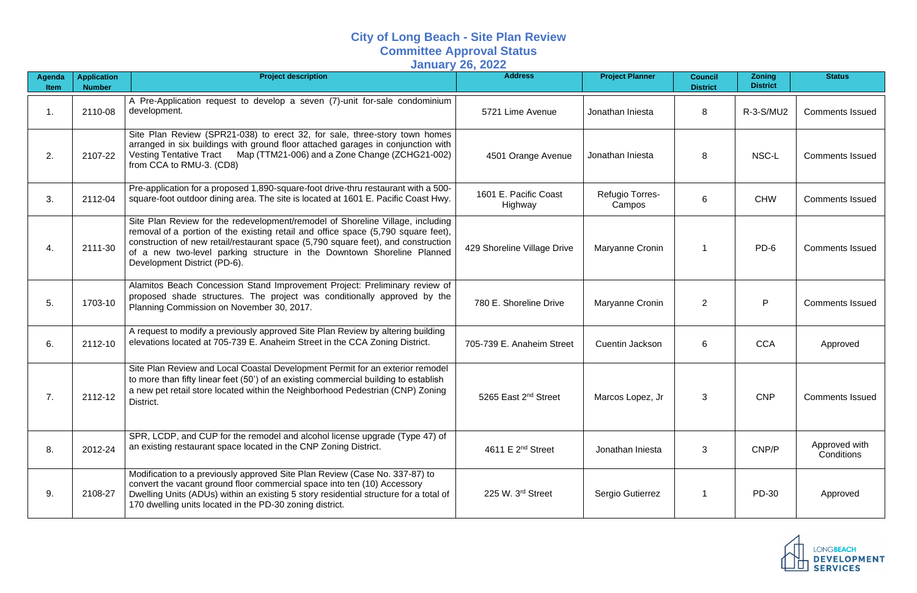## **City of Long Beach - Site Plan Review Committee Approval Status January 26, 2022**

| Agenda<br>Item | <b>Application</b><br><b>Number</b> | <b>Project description</b>                                                                                                                                                                                                                                                                                                                                         | <b>Address</b>                   | <b>Project Planner</b>           | <b>Council</b><br><b>District</b> | <b>Zoning</b><br><b>District</b> | <b>Status</b>               |
|----------------|-------------------------------------|--------------------------------------------------------------------------------------------------------------------------------------------------------------------------------------------------------------------------------------------------------------------------------------------------------------------------------------------------------------------|----------------------------------|----------------------------------|-----------------------------------|----------------------------------|-----------------------------|
| 1.             | 2110-08                             | A Pre-Application request to develop a seven (7)-unit for-sale condominium<br>development.                                                                                                                                                                                                                                                                         | 5721 Lime Avenue                 | Jonathan Iniesta                 | 8                                 | R-3-S/MU2                        | <b>Comments Issued</b>      |
| 2.             | 2107-22                             | Site Plan Review (SPR21-038) to erect 32, for sale, three-story town homes<br>arranged in six buildings with ground floor attached garages in conjunction with<br>Vesting Tentative Tract Map (TTM21-006) and a Zone Change (ZCHG21-002)<br>from CCA to RMU-3. (CD8)                                                                                               | 4501 Orange Avenue               | Jonathan Iniesta                 | 8                                 | NSC-L                            | <b>Comments Issued</b>      |
| 3.             | 2112-04                             | Pre-application for a proposed 1,890-square-foot drive-thru restaurant with a 500-<br>square-foot outdoor dining area. The site is located at 1601 E. Pacific Coast Hwy.                                                                                                                                                                                           | 1601 E. Pacific Coast<br>Highway | <b>Refugio Torres-</b><br>Campos | 6                                 | <b>CHW</b>                       | <b>Comments Issued</b>      |
| 4.             | 2111-30                             | Site Plan Review for the redevelopment/remodel of Shoreline Village, including<br>removal of a portion of the existing retail and office space (5,790 square feet),<br>construction of new retail/restaurant space (5,790 square feet), and construction<br>of a new two-level parking structure in the Downtown Shoreline Planned<br>Development District (PD-6). | 429 Shoreline Village Drive      | Maryanne Cronin                  |                                   | PD-6                             | <b>Comments Issued</b>      |
| 5.             | 1703-10                             | Alamitos Beach Concession Stand Improvement Project: Preliminary review of<br>proposed shade structures. The project was conditionally approved by the<br>Planning Commission on November 30, 2017.                                                                                                                                                                | 780 E. Shoreline Drive           | Maryanne Cronin                  | $\overline{2}$                    | P                                | <b>Comments Issued</b>      |
| 6.             | 2112-10                             | A request to modify a previously approved Site Plan Review by altering building<br>elevations located at 705-739 E. Anaheim Street in the CCA Zoning District.                                                                                                                                                                                                     | 705-739 E. Anaheim Street        | <b>Cuentin Jackson</b>           | 6                                 | <b>CCA</b>                       | Approved                    |
| 7.             | 2112-12                             | Site Plan Review and Local Coastal Development Permit for an exterior remodel<br>to more than fifty linear feet (50') of an existing commercial building to establish<br>a new pet retail store located within the Neighborhood Pedestrian (CNP) Zoning<br>District.                                                                                               | 5265 East 2 <sup>nd</sup> Street | Marcos Lopez, Jr                 | 3                                 | <b>CNP</b>                       | <b>Comments Issued</b>      |
| 8.             | 2012-24                             | SPR, LCDP, and CUP for the remodel and alcohol license upgrade (Type 47) of<br>an existing restaurant space located in the CNP Zoning District.                                                                                                                                                                                                                    | 4611 E $2^{nd}$ Street           | Jonathan Iniesta                 | 3                                 | CNP/P                            | Approved with<br>Conditions |
| 9.             | 2108-27                             | Modification to a previously approved Site Plan Review (Case No. 337-87) to<br>convert the vacant ground floor commercial space into ten (10) Accessory<br>Dwelling Units (ADUs) within an existing 5 story residential structure for a total of<br>170 dwelling units located in the PD-30 zoning district.                                                       | 225 W. 3 <sup>rd</sup> Street    | Sergio Gutierrez                 |                                   | PD-30                            | Approved                    |